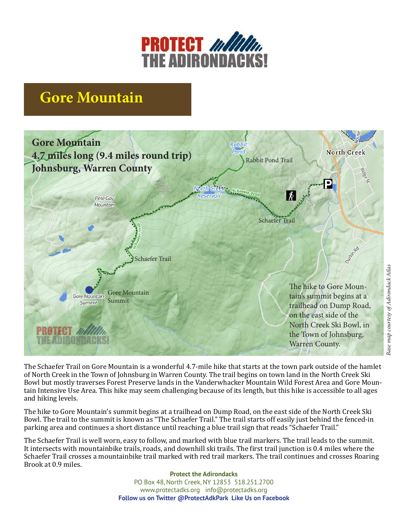

## **Gore Mountain**



Base map courtesy of Adirondack Atlas *Base map courtesy of Adirondack Atlas*

The Schaefer Trail on Gore Mountain is a wonderful 4.7-mile hike that starts at the town park outside of the hamlet of North Creek in the Town of Johnsburg in Warren County. The trail begins on town land in the North Creek Ski Bowl but mostly traverses Forest Preserve lands in the Vanderwhacker Mountain Wild Forest Area and Gore Mountain Intensive Use Area. This hike may seem challenging because of its length, but this hike is accessible to all ages and hiking levels.

The hike to Gore Mountain's summit begins at a trailhead on Dump Road, on the east side of the North Creek Ski Bowl. The trail to the summit is known as "The Schaefer Trail." The trail starts off easily just behind the fenced-in parking area and continues a short distance until reaching a blue trail sign that reads "Schaefer Trail."

The Schaefer Trail is well worn, easy to follow, and marked with blue trail markers. The trail leads to the summit. It intersects with mountainbike trails, roads, and downhill ski trails. The first trail junction is 0.4 miles where the Schaefer Trail crosses a mountainbike trail marked with red trail markers. The trail continues and crosses Roaring Brook at 0.9 miles.

> **Protect the Adirondacks** PO Box 48, North Creek, NY 12853 518.251.2700 www.protectadks.org info@protectadks.org **Follow us on Twitter @ProtectAdkPark Like Us on Facebook**